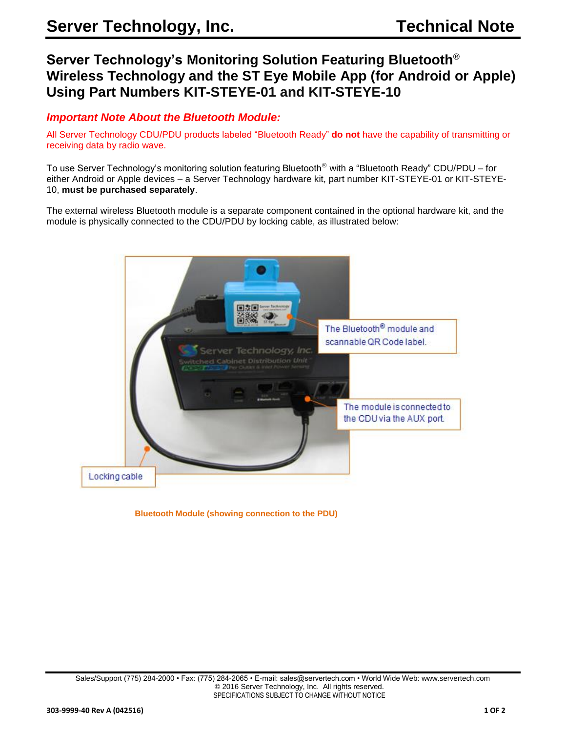# **Server Technology's Monitoring Solution Featuring Bluetooth**® **Wireless Technology and the ST Eye Mobile App (for Android or Apple) Using Part Numbers KIT-STEYE-01 and KIT-STEYE-10**

# *Important Note About the Bluetooth Module:*

All Server Technology CDU/PDU products labeled "Bluetooth Ready" **do not** have the capability of transmitting or receiving data by radio wave.

To use Server Technology's monitoring solution featuring Bluetooth<sup>®</sup> with a "Bluetooth Ready" CDU/PDU – for either Android or Apple devices – a Server Technology hardware kit, part number KIT-STEYE-01 or KIT-STEYE-10, **must be purchased separately**.

The external wireless Bluetooth module is a separate component contained in the optional hardware kit, and the module is physically connected to the CDU/PDU by locking cable, as illustrated below:



 **Bluetooth Module (showing connection to the PDU)**